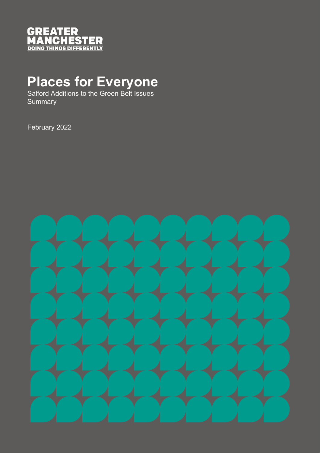

## **Places for Everyone**

Salford Additions to the Green Belt Issues **Summary** 

February 2022

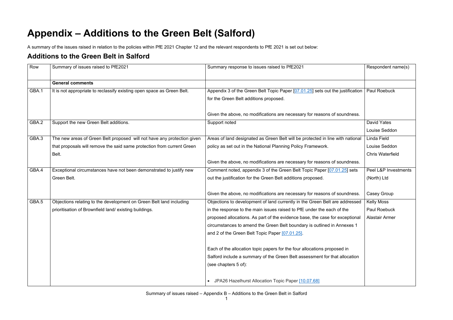## **Appendix – Additions to the Green Belt (Salford)**

A summary of the issues raised in relation to the policies within PfE 2021 Chapter 12 and the relevant respondents to PfE 2021 is set out below:

## **Additions to the Green Belt in Salford**

| Row   | Summary of issues raised to PfE2021                                     | Summary response to issues raised to PfE2021                                   | Respondent name(s)      |
|-------|-------------------------------------------------------------------------|--------------------------------------------------------------------------------|-------------------------|
|       | <b>General comments</b>                                                 |                                                                                |                         |
| GBA.1 | It is not appropriate to reclassify existing open space as Green Belt.  | Appendix 3 of the Green Belt Topic Paper [07.01.25] sets out the justification | Paul Roebuck            |
|       |                                                                         | for the Green Belt additions proposed.                                         |                         |
|       |                                                                         | Given the above, no modifications are necessary for reasons of soundness.      |                         |
| GBA.2 | Support the new Green Belt additions.                                   | Support noted                                                                  | <b>David Yates</b>      |
|       |                                                                         |                                                                                | Louise Seddon           |
| GBA.3 | The new areas of Green Belt proposed will not have any protection given | Areas of land designated as Green Belt will be protected in line with national | Linda Field             |
|       | that proposals will remove the said same protection from current Green  | policy as set out in the National Planning Policy Framework.                   | Louise Seddon           |
|       | Belt.                                                                   |                                                                                | <b>Chris Waterfield</b> |
|       |                                                                         | Given the above, no modifications are necessary for reasons of soundness.      |                         |
| GBA.4 | Exceptional circumstances have not been demonstrated to justify new     | Comment noted, appendix 3 of the Green Belt Topic Paper [07.01.25] sets        | Peel L&P Investments    |
|       | Green Belt.                                                             | out the justification for the Green Belt additions proposed.                   | (North) Ltd             |
|       |                                                                         | Given the above, no modifications are necessary for reasons of soundness.      | Casey Group             |
| GBA.5 | Objections relating to the development on Green Belt land including     | Objections to development of land currently in the Green Belt are addressed    | <b>Kelly Moss</b>       |
|       | prioritisation of Brownfield land/existing buildings.                   | in the response to the main issues raised to PfE under the each of the         | Paul Roebuck            |
|       |                                                                         | proposed allocations. As part of the evidence base, the case for exceptional   | <b>Alastair Armer</b>   |
|       |                                                                         | circumstances to amend the Green Belt boundary is outlined in Annexes 1        |                         |
|       |                                                                         | and 2 of the Green Belt Topic Paper [07.01.25].                                |                         |
|       |                                                                         | Each of the allocation topic papers for the four allocations proposed in       |                         |
|       |                                                                         | Salford include a summary of the Green Belt assessment for that allocation     |                         |
|       |                                                                         | (see chapters 5 of):                                                           |                         |
|       |                                                                         | • JPA26 Hazelhurst Allocation Topic Paper [10.07.68]                           |                         |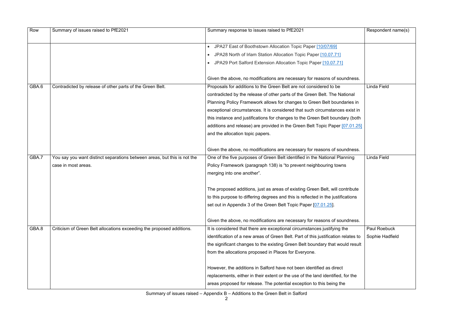| Row   | Summary of issues raised to PfE2021                                      | Summary response to issues raised to PfE2021                                       | Respondent name(s)  |
|-------|--------------------------------------------------------------------------|------------------------------------------------------------------------------------|---------------------|
|       |                                                                          | JPA27 East of Boothstown Allocation Topic Paper [10/07/69]                         |                     |
|       |                                                                          | JPA28 North of Irlam Station Allocation Topic Paper [10.07.71]                     |                     |
|       |                                                                          | JPA29 Port Salford Extension Allocation Topic Paper [10.07.71]                     |                     |
|       |                                                                          | Given the above, no modifications are necessary for reasons of soundness.          |                     |
| GBA.6 | Contradicted by release of other parts of the Green Belt.                | Proposals for additions to the Green Belt are not considered to be                 | Linda Field         |
|       |                                                                          | contradicted by the release of other parts of the Green Belt. The National         |                     |
|       |                                                                          | Planning Policy Framework allows for changes to Green Belt boundaries in           |                     |
|       |                                                                          | exceptional circumstances. It is considered that such circumstances exist in       |                     |
|       |                                                                          | this instance and justifications for changes to the Green Belt boundary (both      |                     |
|       |                                                                          | additions and release) are provided in the Green Belt Topic Paper [07.01.25]       |                     |
|       |                                                                          | and the allocation topic papers.                                                   |                     |
|       |                                                                          | Given the above, no modifications are necessary for reasons of soundness.          |                     |
| GBA.7 | You say you want distinct separations between areas, but this is not the | One of the five purposes of Green Belt identified in the National Planning         | <b>Linda Field</b>  |
|       | case in most areas.                                                      | Policy Framework (paragraph 138) is "to prevent neighbouring towns                 |                     |
|       |                                                                          | merging into one another".                                                         |                     |
|       |                                                                          | The proposed additions, just as areas of existing Green Belt, will contribute      |                     |
|       |                                                                          | to this purpose to differing degrees and this is reflected in the justifications   |                     |
|       |                                                                          | set out in Appendix 3 of the Green Belt Topic Paper [07.01.25].                    |                     |
|       |                                                                          | Given the above, no modifications are necessary for reasons of soundness.          |                     |
| GBA.8 | Criticism of Green Belt allocations exceeding the proposed additions.    | It is considered that there are exceptional circumstances justifying the           | <b>Paul Roebuck</b> |
|       |                                                                          | identification of a new areas of Green Belt. Part of this justification relates to | Sophie Hadfield     |
|       |                                                                          | the significant changes to the existing Green Belt boundary that would result      |                     |
|       |                                                                          | from the allocations proposed in Places for Everyone.                              |                     |
|       |                                                                          | However, the additions in Salford have not been identified as direct               |                     |
|       |                                                                          | replacements, either in their extent or the use of the land identified, for the    |                     |
|       |                                                                          | areas proposed for release. The potential exception to this being the              |                     |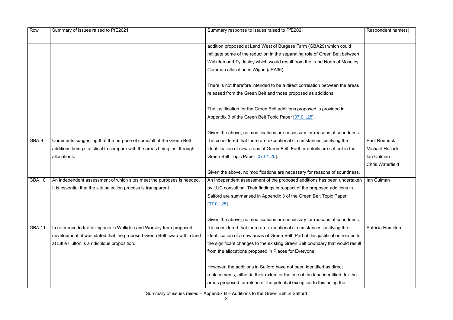Summary of issues raised – Appendix B – Additions to the Green Belt in Salford

| Row           | Summary of issues raised to PfE2021                                      | Summary response to issues raised to PfE2021                                       | Respondent name(s)       |
|---------------|--------------------------------------------------------------------------|------------------------------------------------------------------------------------|--------------------------|
|               |                                                                          | addition proposed at Land West of Burgess Farm (GBA29) which could                 |                          |
|               |                                                                          | mitigate some of the reduction in the separating role of Green Belt between        |                          |
|               |                                                                          | Walkden and Tyldesley which would result from the Land North of Moseley            |                          |
|               |                                                                          | Common allocation in Wigan (JPA36).                                                |                          |
|               |                                                                          | There is not therefore intended to be a direct correlation between the areas       |                          |
|               |                                                                          | released from the Green Belt and those proposed as additions.                      |                          |
|               |                                                                          | The justification for the Green Belt additions proposed is provided in             |                          |
|               |                                                                          | Appendix 3 of the Green Belt Topic Paper [07.01.25].                               |                          |
|               |                                                                          | Given the above, no modifications are necessary for reasons of soundness.          |                          |
| GBA.9         | Comments suggesting that the purpose of some/all of the Green Belt       | It is considered that there are exceptional circumstances justifying the           | <b>Paul Roebuck</b>      |
|               | additions being statistical to compare with the areas being lost through | identification of new areas of Green Belt. Further details are set out in the      | <b>Michael Hullock</b>   |
|               | allocations.                                                             | Green Belt Topic Paper [07.01.25].                                                 | lan Culman               |
|               |                                                                          |                                                                                    | <b>Chris Waterfield</b>  |
|               |                                                                          | Given the above, no modifications are necessary for reasons of soundness.          |                          |
| <b>GBA.10</b> | An independent assessment of which sites meet the purposes is needed.    | An independent assessment of the proposed additions has been undertaken            | Ian Culman               |
|               | It is essential that the site selection process is transparent.          | by LUC consulting. Their findings in respect of the proposed additions in          |                          |
|               |                                                                          | Salford are summarised in Appendix 3 of the Green Belt Topic Paper                 |                          |
|               |                                                                          | $[07.01.25]$ .                                                                     |                          |
|               |                                                                          |                                                                                    |                          |
|               |                                                                          | Given the above, no modifications are necessary for reasons of soundness.          |                          |
| <b>GBA.11</b> | In reference to traffic impacts in Walkden and Worsley from proposed     | It is considered that there are exceptional circumstances justifying the           | <b>Patricia Hamilton</b> |
|               | development, it was stated that the proposed Green Belt swap within land | identification of a new areas of Green Belt. Part of this justification relates to |                          |
|               | at Little Hulton is a ridiculous proposition.                            | the significant changes to the existing Green Belt boundary that would result      |                          |
|               |                                                                          | from the allocations proposed in Places for Everyone.                              |                          |
|               |                                                                          | However, the additions in Salford have not been identified as direct               |                          |
|               |                                                                          | replacements, either in their extent or the use of the land identified, for the    |                          |
|               |                                                                          | areas proposed for release. The potential exception to this being the              |                          |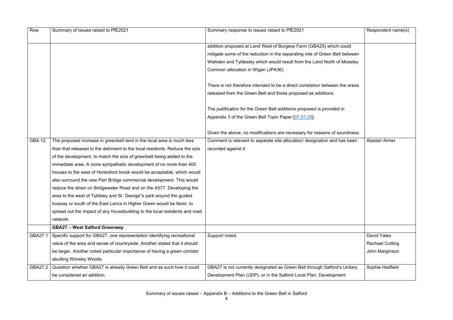| Row           | Summary of issues raised to PfE2021                                         | Summary response to issues raised to PfE2021                                 | Respondent name(s)     |
|---------------|-----------------------------------------------------------------------------|------------------------------------------------------------------------------|------------------------|
|               |                                                                             |                                                                              |                        |
|               |                                                                             | addition proposed at Land West of Burgess Farm (GBA29) which could           |                        |
|               |                                                                             | mitigate some of the reduction in the separating role of Green Belt between  |                        |
|               |                                                                             | Walkden and Tyldesley which would result from the Land North of Moseley      |                        |
|               |                                                                             | Common allocation in Wigan (JPA36).                                          |                        |
|               |                                                                             | There is not therefore intended to be a direct correlation between the areas |                        |
|               |                                                                             | released from the Green Belt and those proposed as additions.                |                        |
|               |                                                                             | The justification for the Green Belt additions proposed is provided in       |                        |
|               |                                                                             | Appendix 3 of the Green Belt Topic Paper [07.01.25].                         |                        |
|               |                                                                             |                                                                              |                        |
|               |                                                                             | Given the above, no modifications are necessary for reasons of soundness.    |                        |
| <b>GBA.12</b> | The proposed increase in greenbelt land in the local area is much less      | Comment is relevant to separate site allocation/ designation and has been    | <b>Alastair Armer</b>  |
|               | than that released to the detriment to the local residents. Reduce the size | recorded against it                                                          |                        |
|               | of the development, to match the size of greenbelt being added to the       |                                                                              |                        |
|               | immediate area. A more sympathetic development of no more than 400          |                                                                              |                        |
|               | houses to the west of Honksford brook would be acceptable, which would      |                                                                              |                        |
|               | also surround the new Parr Bridge commercial development. This would        |                                                                              |                        |
|               | reduce the strain on Bridgewater Road and on the A577. Developing the       |                                                                              |                        |
|               | area to the west of Tyldsley and St. George"s park around the guided        |                                                                              |                        |
|               | busway or south of the East Lancs in Higher Green would be fairer, to       |                                                                              |                        |
|               | spread out the impact of any housebuilding to the local residents and road  |                                                                              |                        |
|               | network.                                                                    |                                                                              |                        |
|               | <b>GBA27 - West Salford Greenway</b>                                        |                                                                              |                        |
| GBA27.1       | Specific support for GBA27, one representation identifying recreational     | Support noted.                                                               | <b>David Yates</b>     |
|               | value of the area and sense of countryside. Another stated that it should   |                                                                              | <b>Rachael Cutting</b> |
|               | be larger. Another noted particular importance of having a green corridor   |                                                                              | John Marginson         |
|               | abutting Worsley Woods.                                                     |                                                                              |                        |
| GBA27.2       | Question whether GBA27 is already Green Belt and as such how it could       | GBA27 is not currently designated as Green Belt through Salford's Unitary    | Sophie Hadfield        |
|               | be considered an addition.                                                  | Development Plan (UDP), or in the Salford Local Plan: Development            |                        |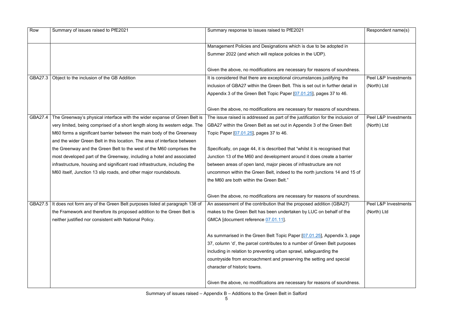| Row     | Summary of issues raised to PfE2021                                         | Summary response to issues raised to PfE2021                                    | Respondent name(s)   |
|---------|-----------------------------------------------------------------------------|---------------------------------------------------------------------------------|----------------------|
|         |                                                                             | Management Policies and Designations which is due to be adopted in              |                      |
|         |                                                                             | Summer 2022 (and which will replace policies in the UDP).                       |                      |
|         |                                                                             | Given the above, no modifications are necessary for reasons of soundness.       |                      |
| GBA27.3 | Object to the inclusion of the GB Addition                                  | It is considered that there are exceptional circumstances justifying the        | Peel L&P Investments |
|         |                                                                             | inclusion of GBA27 within the Green Belt. This is set out in further detail in  | (North) Ltd          |
|         |                                                                             | Appendix 3 of the Green Belt Topic Paper [07.01.25], pages 37 to 46.            |                      |
|         |                                                                             | Given the above, no modifications are necessary for reasons of soundness.       |                      |
| GBA27.4 | The Greenway's physical interface with the wider expanse of Green Belt is   | The issue raised is addressed as part of the justification for the inclusion of | Peel L&P Investments |
|         | very limited, being comprised of a short length along its western edge. The | GBA27 within the Green Belt as set out in Appendix 3 of the Green Belt          | (North) Ltd          |
|         | M60 forms a significant barrier between the main body of the Greenway       | Topic Paper [07.01.25], pages 37 to 46.                                         |                      |
|         | and the wider Green Belt in this location. The area of interface between    |                                                                                 |                      |
|         | the Greenway and the Green Belt to the west of the M60 comprises the        | Specifically, on page 44, it is described that "whilst it is recognised that    |                      |
|         | most developed part of the Greenway, including a hotel and associated       | Junction 13 of the M60 and development around it does create a barrier          |                      |
|         | infrastructure, housing and significant road infrastructure, including the  | between areas of open land, major pieces of infrastructure are not              |                      |
|         | M60 itself, Junction 13 slip roads, and other major roundabouts.            | uncommon within the Green Belt, indeed to the north junctions 14 and 15 of      |                      |
|         |                                                                             | the M60 are both within the Green Belt."                                        |                      |
|         |                                                                             | Given the above, no modifications are necessary for reasons of soundness.       |                      |
| GBA27.5 | It does not form any of the Green Belt purposes listed at paragraph 138 of  | An assessment of the contribution that the proposed addition (GBA27)            | Peel L&P Investments |
|         | the Framework and therefore its proposed addition to the Green Belt is      | makes to the Green Belt has been undertaken by LUC on behalf of the             | (North) Ltd          |
|         | neither justified nor consistent with National Policy.                      | GMCA [document reference 07.01.11].                                             |                      |
|         |                                                                             | As summarised in the Green Belt Topic Paper [07.01.25], Appendix 3, page        |                      |
|         |                                                                             | 37, column 'd', the parcel contributes to a number of Green Belt purposes       |                      |
|         |                                                                             | including in relation to preventing urban sprawl, safeguarding the              |                      |
|         |                                                                             | countryside from encroachment and preserving the setting and special            |                      |
|         |                                                                             | character of historic towns.                                                    |                      |
|         |                                                                             | Given the above, no modifications are necessary for reasons of soundness.       |                      |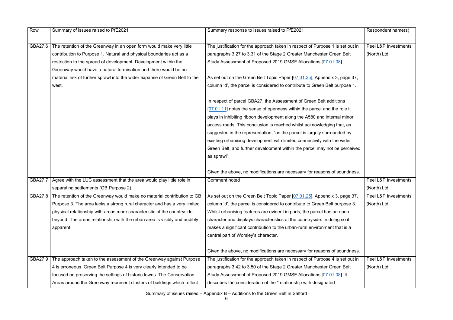Summary of issues raised – Appendix B – Additions to the Green Belt in Salford

| Row     | Summary of issues raised to PfE2021                                             | Summary response to issues raised to PfE2021                                   | Respondent name(s)   |
|---------|---------------------------------------------------------------------------------|--------------------------------------------------------------------------------|----------------------|
|         |                                                                                 |                                                                                |                      |
| GBA27.6 | The retention of the Greenway in an open form would make very little            | The justification for the approach taken in respect of Purpose 1 is set out in | Peel L&P Investments |
|         | contribution to Purpose 1. Natural and physical boundaries act as a             | paragraphs 3.27 to 3.31 of the Stage 2 Greater Manchester Green Belt           | (North) Ltd          |
|         | restriction to the spread of development. Development within the                | Study Assessment of Proposed 2019 GMSF Allocations [07.01.08].                 |                      |
|         | Greenway would have a natural termination and there would be no                 |                                                                                |                      |
|         | material risk of further sprawl into the wider expanse of Green Belt to the     | As set out on the Green Belt Topic Paper [07.01.25], Appendix 3, page 37,      |                      |
|         | west.                                                                           | column 'd', the parcel is considered to contribute to Green Belt purpose 1.    |                      |
|         |                                                                                 |                                                                                |                      |
|         |                                                                                 | In respect of parcel GBA27, the Assessment of Green Belt additions             |                      |
|         |                                                                                 | [07.01.11] notes the sense of openness within the parcel and the role it       |                      |
|         |                                                                                 | plays in inhibiting ribbon development along the A580 and internal minor       |                      |
|         |                                                                                 | access roads. This conclusion is reached whilst acknowledging that, as         |                      |
|         |                                                                                 | suggested in the representation, "as the parcel is largely surrounded by       |                      |
|         |                                                                                 | existing urbanising development with limited connectivity with the wider       |                      |
|         |                                                                                 | Green Belt, and further development within the parcel may not be perceived     |                      |
|         |                                                                                 | as sprawl".                                                                    |                      |
|         |                                                                                 |                                                                                |                      |
|         |                                                                                 | Given the above, no modifications are necessary for reasons of soundness.      |                      |
| GBA27.7 | Agree with the LUC assessment that the area would play little role in           | <b>Comment noted</b>                                                           | Peel L&P Investments |
|         | separating settlements (GB Purpose 2).                                          |                                                                                | (North) Ltd          |
|         | GBA27.8 The retention of the Greenway would make no material contribution to GB | As set out on the Green Belt Topic Paper [07.01.25], Appendix 3, page 37,      | Peel L&P Investments |
|         | Purpose 3. The area lacks a strong rural character and has a very limited       | column 'd', the parcel is considered to contribute to Green Belt purpose 3.    | (North) Ltd          |
|         | physical relationship with areas more characteristic of the countryside         | Whilst urbanising features are evident in parts, the parcel has an open        |                      |
|         | beyond. The areas relationship with the urban area is visibly and audibly       | character and displays characteristics of the countryside. In doing so it      |                      |
|         | apparent.                                                                       | makes a significant contribution to the urban-rural environment that is a      |                      |
|         |                                                                                 | central part of Worsley's character.                                           |                      |
|         |                                                                                 |                                                                                |                      |
|         |                                                                                 | Given the above, no modifications are necessary for reasons of soundness.      |                      |
| GBA27.9 | The approach taken to the assessment of the Greenway against Purpose            | The justification for the approach taken in respect of Purpose 4 is set out in | Peel L&P Investments |
|         | 4 is erroneous. Green Belt Purpose 4 is very clearly intended to be             | paragraphs 3.42 to 3.50 of the Stage 2 Greater Manchester Green Belt           | (North) Ltd          |
|         | focused on preserving the settings of historic towns. The Conservation          | Study Assessment of Proposed 2019 GMSF Allocations [07.01.08]. It              |                      |
|         | Areas around the Greenway represent clusters of buildings which reflect         | describes the consideration of the "relationship with designated               |                      |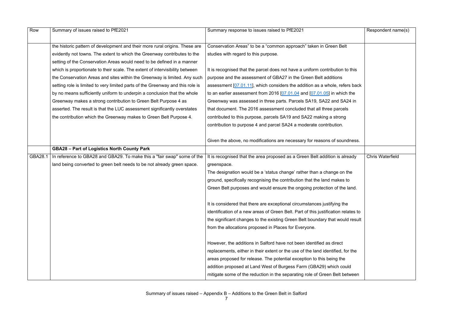| Row     | Summary of issues raised to PfE2021                                            | Summary response to issues raised to PfE2021                                       | Respondent name(s)      |
|---------|--------------------------------------------------------------------------------|------------------------------------------------------------------------------------|-------------------------|
|         |                                                                                |                                                                                    |                         |
|         | the historic pattern of development and their more rural origins. These are    | Conservation Areas" to be a "common approach" taken in Green Belt                  |                         |
|         | evidently not towns. The extent to which the Greenway contributes to the       | studies with regard to this purpose.                                               |                         |
|         | setting of the Conservation Areas would need to be defined in a manner         |                                                                                    |                         |
|         | which is proportionate to their scale. The extent of intervisibility between   | It is recognised that the parcel does not have a uniform contribution to this      |                         |
|         | the Conservation Areas and sites within the Greenway is limited. Any such      | purpose and the assessment of GBA27 in the Green Belt additions                    |                         |
|         | setting role is limited to very limited parts of the Greenway and this role is | assessment $[07.01.11]$ , which considers the addition as a whole, refers back     |                         |
|         | by no means sufficiently uniform to underpin a conclusion that the whole       | to an earlier assessment from 2016 $[07.01.04$ and $[07.01.05]$ in which the       |                         |
|         | Greenway makes a strong contribution to Green Belt Purpose 4 as                | Greenway was assessed in three parts. Parcels SA19, SA22 and SA24 in               |                         |
|         | asserted. The result is that the LUC assessment significantly overstates       | that document. The 2016 assessment concluded that all three parcels                |                         |
|         | the contribution which the Greenway makes to Green Belt Purpose 4.             | contributed to this purpose, parcels SA19 and SA22 making a strong                 |                         |
|         |                                                                                | contribution to purpose 4 and parcel SA24 a moderate contribution.                 |                         |
|         |                                                                                |                                                                                    |                         |
|         |                                                                                | Given the above, no modifications are necessary for reasons of soundness.          |                         |
|         | <b>GBA28 - Part of Logistics North County Park</b>                             |                                                                                    |                         |
| GBA28.1 | In reference to GBA28 and GBA29. To make this a "fair swap" some of the        | It is recognised that the area proposed as a Green Belt addition is already        | <b>Chris Waterfield</b> |
|         | land being converted to green belt needs to be not already green space.        | greenspace.                                                                        |                         |
|         |                                                                                | The designation would be a 'status change' rather than a change on the             |                         |
|         |                                                                                | ground, specifically recognising the contribution that the land makes to           |                         |
|         |                                                                                | Green Belt purposes and would ensure the ongoing protection of the land.           |                         |
|         |                                                                                |                                                                                    |                         |
|         |                                                                                | It is considered that there are exceptional circumstances justifying the           |                         |
|         |                                                                                | identification of a new areas of Green Belt. Part of this justification relates to |                         |
|         |                                                                                | the significant changes to the existing Green Belt boundary that would result      |                         |
|         |                                                                                | from the allocations proposed in Places for Everyone.                              |                         |
|         |                                                                                |                                                                                    |                         |
|         |                                                                                | However, the additions in Salford have not been identified as direct               |                         |
|         |                                                                                | replacements, either in their extent or the use of the land identified, for the    |                         |
|         |                                                                                | areas proposed for release. The potential exception to this being the              |                         |
|         |                                                                                | addition proposed at Land West of Burgess Farm (GBA29) which could                 |                         |
|         |                                                                                | mitigate some of the reduction in the separating role of Green Belt between        |                         |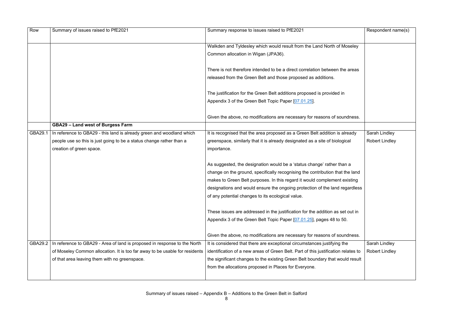| Row            | Summary of issues raised to PfE2021                                         | Summary response to issues raised to PfE2021                                       | Respondent name(s)    |
|----------------|-----------------------------------------------------------------------------|------------------------------------------------------------------------------------|-----------------------|
|                |                                                                             | Walkden and Tyldesley which would result from the Land North of Moseley            |                       |
|                |                                                                             | Common allocation in Wigan (JPA36).                                                |                       |
|                |                                                                             |                                                                                    |                       |
|                |                                                                             | There is not therefore intended to be a direct correlation between the areas       |                       |
|                |                                                                             | released from the Green Belt and those proposed as additions.                      |                       |
|                |                                                                             | The justification for the Green Belt additions proposed is provided in             |                       |
|                |                                                                             | Appendix 3 of the Green Belt Topic Paper [07.01.25].                               |                       |
|                |                                                                             |                                                                                    |                       |
|                |                                                                             | Given the above, no modifications are necessary for reasons of soundness.          |                       |
|                | <b>GBA29 - Land west of Burgess Farm</b>                                    |                                                                                    |                       |
| GBA29.1        | In reference to GBA29 - this land is already green and woodland which       | It is recognised that the area proposed as a Green Belt addition is already        | Sarah Lindley         |
|                | people use so this is just going to be a status change rather than a        | greenspace, similarly that it is already designated as a site of biological        | <b>Robert Lindley</b> |
|                | creation of green space.                                                    | importance.                                                                        |                       |
|                |                                                                             |                                                                                    |                       |
|                |                                                                             | As suggested, the designation would be a 'status change' rather than a             |                       |
|                |                                                                             | change on the ground, specifically recognising the contribution that the land      |                       |
|                |                                                                             | makes to Green Belt purposes. In this regard it would complement existing          |                       |
|                |                                                                             | designations and would ensure the ongoing protection of the land regardless        |                       |
|                |                                                                             | of any potential changes to its ecological value.                                  |                       |
|                |                                                                             | These issues are addressed in the justification for the addition as set out in     |                       |
|                |                                                                             | Appendix 3 of the Green Belt Topic Paper [07.01.25], pages 48 to 50.               |                       |
|                |                                                                             |                                                                                    |                       |
|                |                                                                             | Given the above, no modifications are necessary for reasons of soundness.          |                       |
| <b>GBA29.2</b> | In reference to GBA29 - Area of land is proposed in response to the North   | It is considered that there are exceptional circumstances justifying the           | Sarah Lindley         |
|                | of Moseley Common allocation. It is too far away to be usable for residents | identification of a new areas of Green Belt. Part of this justification relates to | <b>Robert Lindley</b> |
|                | of that area leaving them with no greenspace.                               | the significant changes to the existing Green Belt boundary that would result      |                       |
|                |                                                                             | from the allocations proposed in Places for Everyone.                              |                       |
|                |                                                                             |                                                                                    |                       |
|                |                                                                             |                                                                                    |                       |

|                                           | Respondent name(s)    |
|-------------------------------------------|-----------------------|
| Moseley                                   |                       |
| าe areas                                  |                       |
| n                                         |                       |
| undness.                                  |                       |
|                                           |                       |
| already                                   | <b>Sarah Lindley</b>  |
| gical                                     | <b>Robert Lindley</b> |
| an a<br>the land<br>existing<br>egardless |                       |
| et out in                                 |                       |
| 50.                                       |                       |
| undness.                                  |                       |
| the                                       | Sarah Lindley         |
| relates to                                | <b>Robert Lindley</b> |
| uld result                                |                       |
|                                           |                       |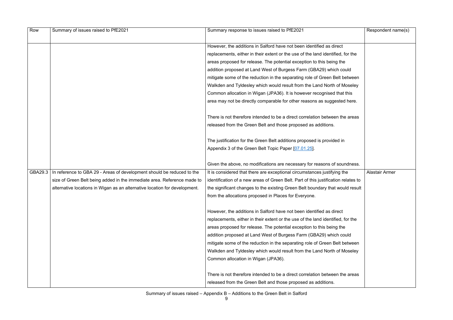| Row     | Summary of issues raised to PfE2021                                        | Summary response to issues raised to PfE2021                                       | Respondent name(s)    |
|---------|----------------------------------------------------------------------------|------------------------------------------------------------------------------------|-----------------------|
|         |                                                                            |                                                                                    |                       |
|         |                                                                            | However, the additions in Salford have not been identified as direct               |                       |
|         |                                                                            | replacements, either in their extent or the use of the land identified, for the    |                       |
|         |                                                                            | areas proposed for release. The potential exception to this being the              |                       |
|         |                                                                            | addition proposed at Land West of Burgess Farm (GBA29) which could                 |                       |
|         |                                                                            | mitigate some of the reduction in the separating role of Green Belt between        |                       |
|         |                                                                            | Walkden and Tyldesley which would result from the Land North of Moseley            |                       |
|         |                                                                            | Common allocation in Wigan (JPA36). It is however recognised that this             |                       |
|         |                                                                            | area may not be directly comparable for other reasons as suggested here.           |                       |
|         |                                                                            | There is not therefore intended to be a direct correlation between the areas       |                       |
|         |                                                                            | released from the Green Belt and those proposed as additions.                      |                       |
|         |                                                                            | The justification for the Green Belt additions proposed is provided in             |                       |
|         |                                                                            | Appendix 3 of the Green Belt Topic Paper [07.01.25].                               |                       |
|         |                                                                            |                                                                                    |                       |
|         |                                                                            | Given the above, no modifications are necessary for reasons of soundness.          |                       |
| GBA29.3 | In reference to GBA 29 - Areas of development should be reduced to the     | It is considered that there are exceptional circumstances justifying the           | <b>Alastair Armer</b> |
|         | size of Green Belt being added in the immediate area. Reference made to    | identification of a new areas of Green Belt. Part of this justification relates to |                       |
|         | alternative locations in Wigan as an alternative location for development. | the significant changes to the existing Green Belt boundary that would result      |                       |
|         |                                                                            | from the allocations proposed in Places for Everyone.                              |                       |
|         |                                                                            | However, the additions in Salford have not been identified as direct               |                       |
|         |                                                                            | replacements, either in their extent or the use of the land identified, for the    |                       |
|         |                                                                            | areas proposed for release. The potential exception to this being the              |                       |
|         |                                                                            | addition proposed at Land West of Burgess Farm (GBA29) which could                 |                       |
|         |                                                                            | mitigate some of the reduction in the separating role of Green Belt between        |                       |
|         |                                                                            | Walkden and Tyldesley which would result from the Land North of Moseley            |                       |
|         |                                                                            | Common allocation in Wigan (JPA36).                                                |                       |
|         |                                                                            | There is not therefore intended to be a direct correlation between the areas       |                       |
|         |                                                                            | released from the Green Belt and those proposed as additions.                      |                       |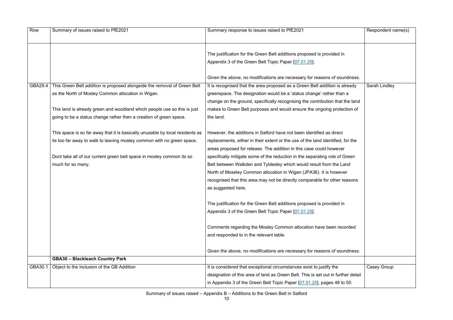Summary of issues raised – Appendix B – Additions to the Green Belt in Salford

| Row     | Summary of issues raised to PfE2021                                           | Summary response to issues raised to PfE2021                                      | Respondent name(s) |
|---------|-------------------------------------------------------------------------------|-----------------------------------------------------------------------------------|--------------------|
|         |                                                                               |                                                                                   |                    |
|         |                                                                               | The justification for the Green Belt additions proposed is provided in            |                    |
|         |                                                                               | Appendix 3 of the Green Belt Topic Paper [07.01.25].                              |                    |
|         |                                                                               | Given the above, no modifications are necessary for reasons of soundness.         |                    |
| GBA29.4 | This Green Belt addition is proposed alongside the removal of Green Belt      | It is recognised that the area proposed as a Green Belt addition is already       | Sarah Lindley      |
|         | as the North of Mosley Common allocation in Wigan.                            | greenspace. The designation would be a 'status change' rather than a              |                    |
|         |                                                                               | change on the ground, specifically recognising the contribution that the land     |                    |
|         | This land is already green and woodland which people use so this is just      | makes to Green Belt purposes and would ensure the ongoing protection of           |                    |
|         | going to be a status change rather then a creation of green space.            | the land.                                                                         |                    |
|         | This space is so far away that it is basically unusable by local residents as | However, the additions in Salford have not been identified as direct              |                    |
|         | its too far away to walk to leaving mosley common with no green space.        | replacements, either in their extent or the use of the land identified, for the   |                    |
|         |                                                                               | areas proposed for release. The addition in this case could however               |                    |
|         | Dont take all of our current green belt space in mosley common its so         | specifically mitigate some of the reduction in the separating role of Green       |                    |
|         | much for so many.                                                             | Belt between Walkden and Tyldesley which would result from the Land               |                    |
|         |                                                                               | North of Moseley Common allocation in Wigan (JPA36). It is however                |                    |
|         |                                                                               | recognised that this area may not be directly comparable for other reasons        |                    |
|         |                                                                               | as suggested here.                                                                |                    |
|         |                                                                               | The justification for the Green Belt additions proposed is provided in            |                    |
|         |                                                                               | Appendix 3 of the Green Belt Topic Paper [07.01.25].                              |                    |
|         |                                                                               |                                                                                   |                    |
|         |                                                                               | Comments regarding the Mosley Common allocation have been recorded                |                    |
|         |                                                                               | and responded to in the relevant table.                                           |                    |
|         |                                                                               | Given the above, no modifications are necessary for reasons of soundness.         |                    |
|         | <b>GBA30 - Blackleach Country Park</b>                                        |                                                                                   |                    |
| GBA30.1 | Object to the inclusion of the GB Addition                                    | It is considered that exceptional circumstances exist to justify the              | Casey Group        |
|         |                                                                               | designation of this area of land as Green Belt. This is set out in further detail |                    |
|         |                                                                               | in Appendix 3 of the Green Belt Topic Paper [07.01.25], pages 48 to 50.           |                    |

|            | Respondent name(s) |
|------------|--------------------|
| n          |                    |
| undness.   |                    |
| already    | Sarah Lindley      |
| n a        |                    |
| the land   |                    |
| ection of  |                    |
|            |                    |
|            |                    |
|            |                    |
| for the    |                    |
| :r         |                    |
| Green      |                    |
| and        |                    |
| er         |                    |
| reasons    |                    |
|            |                    |
|            |                    |
| n          |                    |
|            |                    |
|            |                    |
| corded     |                    |
|            |                    |
|            |                    |
| undness.   |                    |
|            |                    |
|            |                    |
|            | Casey Group        |
| her detail |                    |
| o 50.      |                    |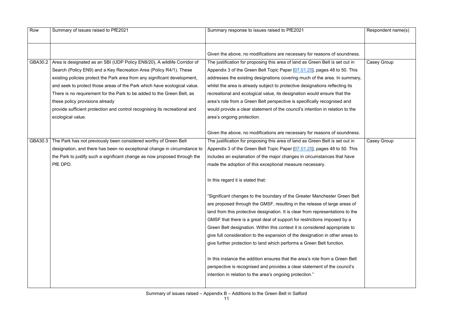| Row     | Summary of issues raised to PfE2021                                        | Summary response to issues raised to PfE2021                                   | Respondent name(s) |
|---------|----------------------------------------------------------------------------|--------------------------------------------------------------------------------|--------------------|
|         |                                                                            |                                                                                |                    |
|         |                                                                            |                                                                                |                    |
|         |                                                                            | Given the above, no modifications are necessary for reasons of soundness.      |                    |
| GBA30.2 | Area is designated as an SBI (UDP Policy EN8/20), A wildlife Corridor of   | The justification for proposing this area of land as Green Belt is set out in  | Casey Group        |
|         | Search (Policy EN9) and a Key Recreation Area (Policy R4/1). These         | Appendix 3 of the Green Belt Topic Paper [07.01.25], pages 48 to 50. This      |                    |
|         | existing policies protect the Park area from any significant development,  | addresses the existing designations covering much of the area. In summary,     |                    |
|         | and seek to protect those areas of the Park which have ecological value.   | whilst the area is already subject to protective designations reflecting its   |                    |
|         | There is no requirement for the Park to be added to the Green Belt, as     | recreational and ecological value, its designation would ensure that the       |                    |
|         | these policy provisions already                                            | area's role from a Green Belt perspective is specifically recognised and       |                    |
|         | provide sufficient protection and control recognising its recreational and | would provide a clear statement of the council's intention in relation to the  |                    |
|         | ecological value.                                                          | area's ongoing protection.                                                     |                    |
|         |                                                                            |                                                                                |                    |
|         |                                                                            | Given the above, no modifications are necessary for reasons of soundness.      |                    |
| GBA30.3 | The Park has not previously been considered worthy of Green Belt           | The justification for proposing this area of land as Green Belt is set out in  | Casey Group        |
|         | designation, and there has been no exceptional change in circumstance to   | Appendix 3 of the Green Belt Topic Paper [07.01.25], pages 48 to 50. This      |                    |
|         | the Park to justify such a significant change as now proposed through the  | includes an explanation of the major changes in circumstances that have        |                    |
|         | PfE DPD.                                                                   | made the adoption of this exceptional measure necessary.                       |                    |
|         |                                                                            |                                                                                |                    |
|         |                                                                            | In this regard it is stated that:                                              |                    |
|         |                                                                            |                                                                                |                    |
|         |                                                                            | "Significant changes to the boundary of the Greater Manchester Green Belt      |                    |
|         |                                                                            | are proposed through the GMSF, resulting in the release of large areas of      |                    |
|         |                                                                            | land from this protective designation. It is clear from representations to the |                    |
|         |                                                                            | GMSF that there is a great deal of support for restrictions imposed by a       |                    |
|         |                                                                            | Green Belt designation. Within this context it is considered appropriate to    |                    |
|         |                                                                            | give full consideration to the expansion of the designation in other areas to  |                    |
|         |                                                                            | give further protection to land which performs a Green Belt function.          |                    |
|         |                                                                            |                                                                                |                    |
|         |                                                                            | In this instance the addition ensures that the area's role from a Green Belt   |                    |
|         |                                                                            | perspective is recognised and provides a clear statement of the council's      |                    |
|         |                                                                            | intention in relation to the area's ongoing protection."                       |                    |
|         |                                                                            |                                                                                |                    |